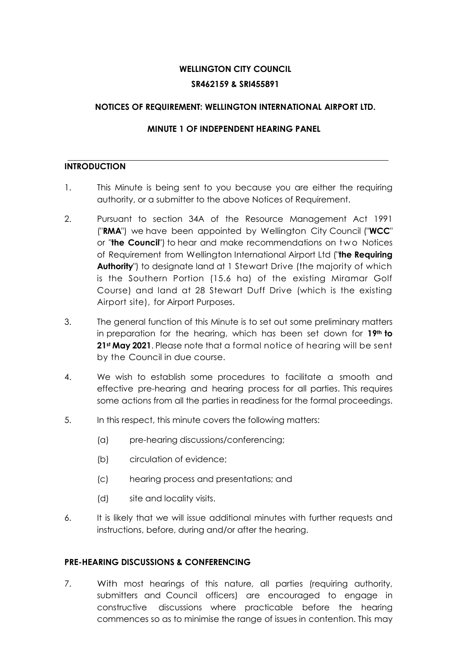# **WELLINGTON CITY COUNCIL**

### **SR462159 & SRI455891**

# **NOTICES OF REQUIREMENT: WELLINGTON INTERNATIONAL AIRPORT LTD.**

# **MINUTE 1 OF INDEPENDENT HEARING PANEL**

### **INTRODUCTION**

- 1. This Minute is being sent to you because you are either the requiring authority, or a submitter to the above Notices of Requirement.
- 2. Pursuant to section 34A of the Resource Management Act 1991 ("**RMA**") we have been appointed by Wellington City Council ("**WCC**" or "**the Council**") to hear and make recommendations on t w o Notices of Requirement from Wellington International Airport Ltd ("**the Requiring Authority**") to designate land at 1 Stewart Drive (the majority of which is the Southern Portion (15.6 ha) of the existing Miramar Golf Course) and land at 28 Stewart Duff Drive (which is the existing Airport site), for Airport Purposes.
- 3. The general function of this Minute is to set out some preliminary matters in preparation for the hearing, which has been set down for **19th to 21st May 2021**. Please note that a formal notice of hearing will be sent by the Council in due course.
- 4. We wish to establish some procedures to facilitate a smooth and effective pre-hearing and hearing process for all parties. This requires some actions from all the parties in readiness for the formal proceedings.
- 5. In this respect, this minute covers the following matters:
	- (a) pre-hearing discussions/conferencing;
	- (b) circulation of evidence;
	- (c) hearing process and presentations; and
	- (d) site and locality visits.
- 6. It is likely that we will issue additional minutes with further requests and instructions, before, during and/or after the hearing.

# **PRE-HEARING DISCUSSIONS & CONFERENCING**

7. With most hearings of this nature, all parties (requiring authority, submitters and Council officers) are encouraged to engage in constructive discussions where practicable before the hearing commences so as to minimise the range of issues in contention. This may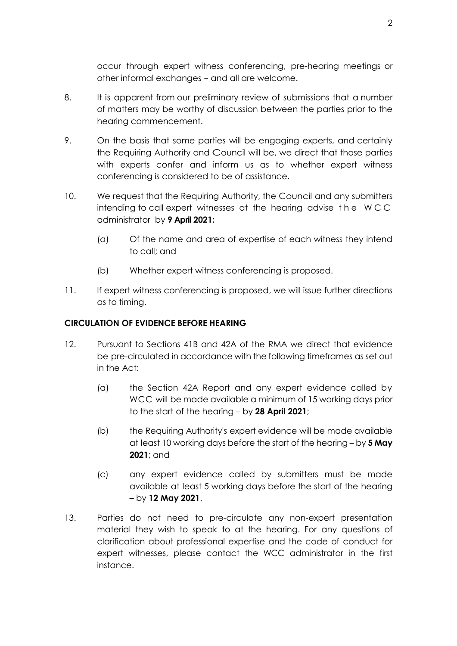occur through expert witness conferencing, pre-hearing meetings or other informal exchanges - and all are welcome.

- 8. It is apparent from our preliminary review of submissions that a number of matters may be worthy of discussion between the parties prior to the hearing commencement.
- 9. On the basis that some parties will be engaging experts, and certainly the Requiring Authority and Council will be, we direct that those parties with experts confer and inform us as to whether expert witness conferencing is considered to be of assistance.
- 10. We request that the Requiring Authority, the Council and any submitters intending to call expert witnesses at the hearing advise t h e W C C administrator by **9 April 2021:**
	- (a) Of the name and area of expertise of each witness they intend to call; and
	- (b) Whether expert witness conferencing is proposed.
- 11. If expert witness conferencing is proposed, we will issue further directions as to timing.

## **CIRCULATION OF EVIDENCE BEFORE HEARING**

- 12. Pursuant to Sections 41B and 42A of the RMA we direct that evidence be pre-circulated in accordance with the following timeframes as set out in the Act:
	- (a) the Section 42A Report and any expert evidence called by WCC will be made available a minimum of 15 working days prior to the start of the hearing – by **28 April 2021**;
	- (b) the Requiring Authority's expert evidence will be made available at least 10 working days before the start of the hearing – by **5 May 2021**; and
	- (c) any expert evidence called by submitters must be made available at least 5 working days before the start of the hearing – by **12 May 2021**.
- 13. Parties do not need to pre-circulate any non-expert presentation material they wish to speak to at the hearing. For any questions of clarification about professional expertise and the code of conduct for expert witnesses, please contact the WCC administrator in the first instance.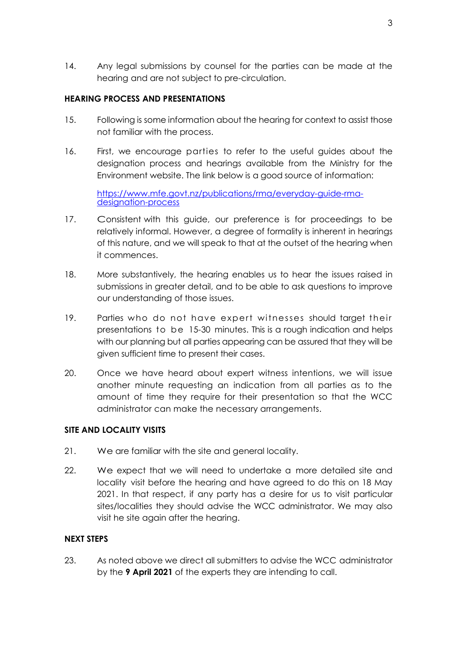14. Any legal submissions by counsel for the parties can be made at the hearing and are not subject to pre-circulation.

### **HEARING PROCESS AND PRESENTATIONS**

- 15. Following is some information about the hearing for context to assist those not familiar with the process.
- 16. First, we encourage parties to refer to the useful guides about the designation process and hearings available from the Ministry for the Environment website. The link below is a good source of information:

[https://www.mfe.govt.nz/publications/rma/everyday-guide-rma](https://www.mfe.govt.nz/publications/rma/everyday-guide-rma-designation-process)[designation-process](https://www.mfe.govt.nz/publications/rma/everyday-guide-rma-designation-process)

- 17. Consistent with this guide, our preference is for proceedings to be relatively informal. However, a degree of formality is inherent in hearings of this nature, and we will speak to that at the outset of the hearing when it commences.
- 18. More substantively, the hearing enables us to hear the issues raised in submissions in greater detail, and to be able to ask questions to improve our understanding of those issues.
- 19. Parties who do not have expert witnesses should target their presentations to be 15-30 minutes. This is a rough indication and helps with our planning but all parties appearing can be assured that they will be given sufficient time to present their cases.
- 20. Once we have heard about expert witness intentions, we will issue another minute requesting an indication from all parties as to the amount of time they require for their presentation so that the WCC administrator can make the necessary arrangements.

#### **SITE AND LOCALITY VISITS**

- 21. We are familiar with the site and general locality.
- 22. We expect that we will need to undertake a more detailed site and locality visit before the hearing and have agreed to do this on 18 May 2021. In that respect, if any party has a desire for us to visit particular sites/localities they should advise the WCC administrator. We may also visit he site again after the hearing.

#### **NEXT STEPS**

23. As noted above we direct all submitters to advise the WCC administrator by the **9 April 2021** of the experts they are intending to call.